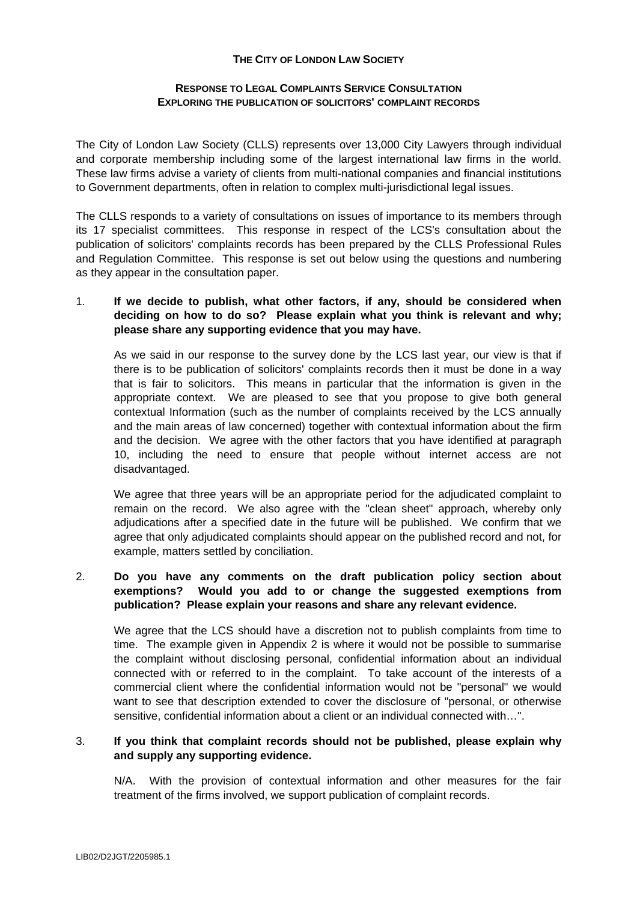## **THE CITY OF LONDON LAW SOCIETY**

#### **RESPONSE TO LEGAL COMPLAINTS SERVICE CONSULTATION EXPLORING THE PUBLICATION OF SOLICITORS' COMPLAINT RECORDS**

The City of London Law Society (CLLS) represents over 13,000 City Lawyers through individual and corporate membership including some of the largest international law firms in the world. These law firms advise a variety of clients from multi-national companies and financial institutions to Government departments, often in relation to complex multi-jurisdictional legal issues.

The CLLS responds to a variety of consultations on issues of importance to its members through its 17 specialist committees. This response in respect of the LCS's consultation about the publication of solicitors' complaints records has been prepared by the CLLS Professional Rules and Regulation Committee. This response is set out below using the questions and numbering as they appear in the consultation paper.

# 1. **If we decide to publish, what other factors, if any, should be considered when deciding on how to do so? Please explain what you think is relevant and why; please share any supporting evidence that you may have.**

As we said in our response to the survey done by the LCS last year, our view is that if there is to be publication of solicitors' complaints records then it must be done in a way that is fair to solicitors. This means in particular that the information is given in the appropriate context. We are pleased to see that you propose to give both general contextual Information (such as the number of complaints received by the LCS annually and the main areas of law concerned) together with contextual information about the firm and the decision. We agree with the other factors that you have identified at paragraph 10, including the need to ensure that people without internet access are not disadvantaged.

We agree that three years will be an appropriate period for the adjudicated complaint to remain on the record. We also agree with the "clean sheet" approach, whereby only adjudications after a specified date in the future will be published. We confirm that we agree that only adjudicated complaints should appear on the published record and not, for example, matters settled by conciliation.

# 2. **Do you have any comments on the draft publication policy section about exemptions? Would you add to or change the suggested exemptions from publication? Please explain your reasons and share any relevant evidence.**

We agree that the LCS should have a discretion not to publish complaints from time to time. The example given in Appendix 2 is where it would not be possible to summarise the complaint without disclosing personal, confidential information about an individual connected with or referred to in the complaint. To take account of the interests of a commercial client where the confidential information would not be "personal" we would want to see that description extended to cover the disclosure of "personal, or otherwise sensitive, confidential information about a client or an individual connected with…".

## 3. **If you think that complaint records should not be published, please explain why and supply any supporting evidence.**

N/A. With the provision of contextual information and other measures for the fair treatment of the firms involved, we support publication of complaint records.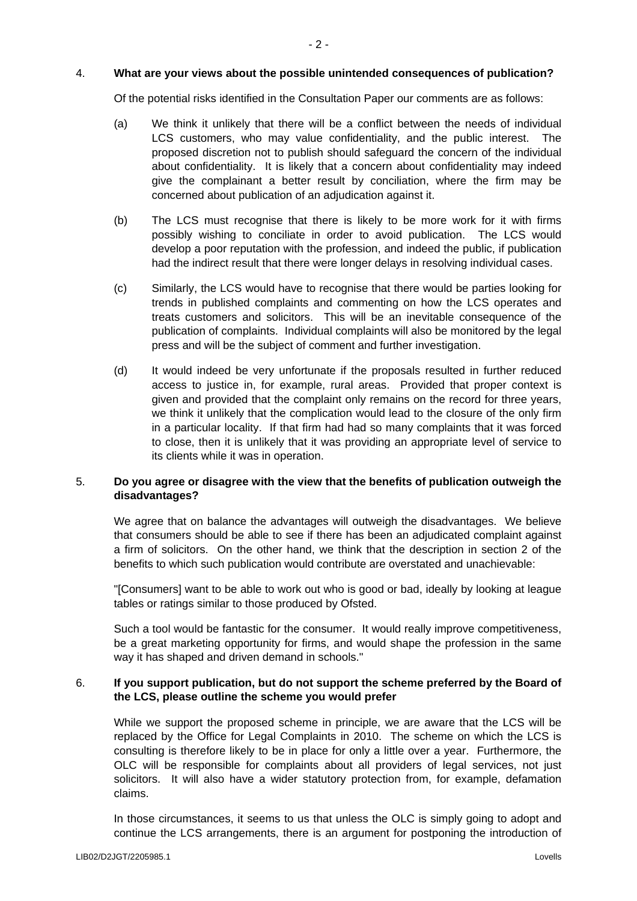#### 4. **What are your views about the possible unintended consequences of publication?**

Of the potential risks identified in the Consultation Paper our comments are as follows:

- (a) We think it unlikely that there will be a conflict between the needs of individual LCS customers, who may value confidentiality, and the public interest. The proposed discretion not to publish should safeguard the concern of the individual about confidentiality. It is likely that a concern about confidentiality may indeed give the complainant a better result by conciliation, where the firm may be concerned about publication of an adjudication against it.
- (b) The LCS must recognise that there is likely to be more work for it with firms possibly wishing to conciliate in order to avoid publication. The LCS would develop a poor reputation with the profession, and indeed the public, if publication had the indirect result that there were longer delays in resolving individual cases.
- (c) Similarly, the LCS would have to recognise that there would be parties looking for trends in published complaints and commenting on how the LCS operates and treats customers and solicitors. This will be an inevitable consequence of the publication of complaints. Individual complaints will also be monitored by the legal press and will be the subject of comment and further investigation.
- (d) It would indeed be very unfortunate if the proposals resulted in further reduced access to justice in, for example, rural areas. Provided that proper context is given and provided that the complaint only remains on the record for three years, we think it unlikely that the complication would lead to the closure of the only firm in a particular locality. If that firm had had so many complaints that it was forced to close, then it is unlikely that it was providing an appropriate level of service to its clients while it was in operation.

## 5. **Do you agree or disagree with the view that the benefits of publication outweigh the disadvantages?**

We agree that on balance the advantages will outweigh the disadvantages. We believe that consumers should be able to see if there has been an adjudicated complaint against a firm of solicitors. On the other hand, we think that the description in section 2 of the benefits to which such publication would contribute are overstated and unachievable:

"[Consumers] want to be able to work out who is good or bad, ideally by looking at league tables or ratings similar to those produced by Ofsted.

Such a tool would be fantastic for the consumer. It would really improve competitiveness, be a great marketing opportunity for firms, and would shape the profession in the same way it has shaped and driven demand in schools."

## 6. **If you support publication, but do not support the scheme preferred by the Board of the LCS, please outline the scheme you would prefer**

While we support the proposed scheme in principle, we are aware that the LCS will be replaced by the Office for Legal Complaints in 2010. The scheme on which the LCS is consulting is therefore likely to be in place for only a little over a year. Furthermore, the OLC will be responsible for complaints about all providers of legal services, not just solicitors. It will also have a wider statutory protection from, for example, defamation claims.

In those circumstances, it seems to us that unless the OLC is simply going to adopt and continue the LCS arrangements, there is an argument for postponing the introduction of